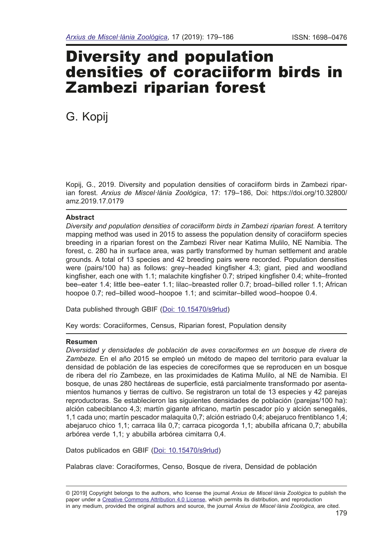# Diversity and population densities of coraciiform birds in Zambezi riparian forest

G. Kopij

Kopij, G., 2019. Diversity and population densities of coraciiform birds in Zambezi riparian forest. *Arxius de Miscel·lània Zoològica*, 17: 179–186, Doi: https://doi.org/10.32800/ amz.2019.17.0179

## **Abstract**

*Diversity and population densities of coraciiform birds in Zambezi riparian forest.* A territory mapping method was used in 2015 to assess the population density of coraciiform species breeding in a riparian forest on the Zambezi River near Katima Mulilo, NE Namibia. The forest, c. 280 ha in surface area, was partly transformed by human settlement and arable grounds. A total of 13 species and 42 breeding pairs were recorded. Population densities were (pairs/100 ha) as follows: grey–headed kingfsher 4.3; giant, pied and woodland kingfisher, each one with 1.1; malachite kingfisher 0.7; striped kingfisher 0.4; white–fronted bee–eater 1.4; little bee–eater 1.1; lilac–breasted roller 0.7; broad–billed roller 1.1; African hoopoe 0.7; red–billed wood–hoopoe 1.1; and scimitar–billed wood–hoopoe 0.4.

Data published through GBIF ([Doi: 10.15470/s9rlud](https://www.gbif.org/dataset/a73c418e-7baa-4955-bdad-0159bcf2be2d))

Key words: Coraciiformes, Census, Riparian forest, Population density

# **Resumen**

*Diversidad y densidades de población de aves coraciformes en un bosque de rivera de Zambeze.* En el año 2015 se empleó un método de mapeo del territorio para evaluar la densidad de población de las especies de coreciformes que se reproducen en un bosque de ribera del río Zambeze, en las proximidades de Katima Mulilo, al NE de Namibia. El bosque, de unas 280 hectáreas de superfcie, está parcialmente transformado por asentamientos humanos y tierras de cultivo. Se registraron un total de 13 especies y 42 parejas reproductoras. Se establecieron las siguientes densidades de población (parejas/100 ha): alción cabeciblanco 4,3; martín gigante africano, martín pescador pío y alción senegalés, 1,1 cada uno; martín pescador malaquita 0,7; alción estriado 0,4; abejaruco frentiblanco 1,4; abejaruco chico 1,1; carraca lila 0,7; carraca picogorda 1,1; abubilla africana 0,7; abubilla arbórea verde 1,1; y abubilla arbórea cimitarra 0,4.

Datos publicados en GBIF [\(Doi: 10.15470/s9rlud\)](https://www.gbif.org/dataset/a73c418e-7baa-4955-bdad-0159bcf2be2d)

Palabras clave: Coraciformes, Censo, Bosque de rivera, Densidad de población

<sup>© [2019]</sup> Copyright belongs to the authors, who license the journal *Arxius de Miscel·lània Zoològica* to publish the paper under a [Creative Commons Attribution 4.0 License,](http://creativecommons.org/licenses/by/4.0/deed.en) which permits its distribution, and reproduction in any medium, provided the original authors and source, the journal *Arxius de Miscel·lània Zoològica*, are cited.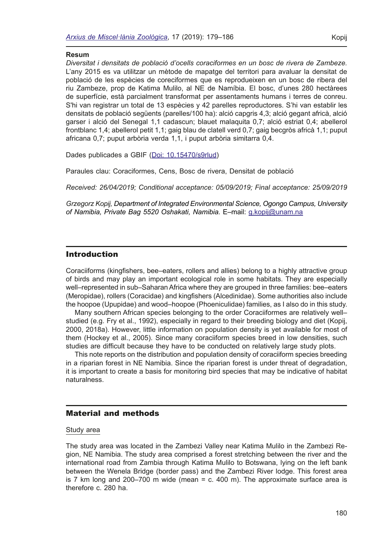### **Resum**

*Diversitat i densitats de població d'ocells coraciformes en un bosc de rivera de Zambeze.*  L'any 2015 es va utilitzar un mètode de mapatge del territori para avaluar la densitat de població de les espècies de coreciformes que es reprodueixen en un bosc de ribera del riu Zambeze, prop de Katima Mulilo, al NE de Namíbia. El bosc, d'unes 280 hectàrees de superfície, està parcialment transformat per assentaments humans i terres de conreu. S'hi van registrar un total de 13 espècies y 42 parelles reproductores. S'hi van establir les densitats de població següents (parelles/100 ha): alció capgris 4,3; alció gegant africà, alció garser i alció del Senegal 1,1 cadascun; blauet malaquita 0,7; alció estriat 0,4; abellerol frontblanc 1,4; abellerol petit 1,1; gaig blau de clatell verd 0,7; gaig becgròs africà 1,1; puput africana 0,7; puput arbòria verda 1,1, i puput arbòria simitarra 0,4.

Dades publicades a GBIF ([Doi: 10.15470/s9rlud](https://www.gbif.org/dataset/a73c418e-7baa-4955-bdad-0159bcf2be2d))

Paraules clau: Coraciformes, Cens, Bosc de rivera, Densitat de població

*Received: 26/04/2019; Conditional acceptance: 05/09/2019; Final acceptance: 25/09/2019* 

*Grzegorz Kopij, Department of Integrated Environmental Science, Ogongo Campus, University of Namibia, Private Bag 5520 Oshakati, Namibia.* E–mail: [g.kopij@unam.na](mailto:g.kopij%40unam.na%20?subject=)

## Introduction

Coraciiforms (kingfshers, bee–eaters, rollers and allies) belong to a highly attractive group of birds and may play an important ecological role in some habitats. They are especially well–represented in sub–Saharan Africa where they are grouped in three families: bee–eaters (Meropidae), rollers (Coracidae) and kingfshers (Alcedinidae). Some authorities also include the hoopoe (Upupidae) and wood–hoopoe (Phoeniculidae) families, as I also do in this study.

Many southern African species belonging to the order Coraciiformes are relatively well– studied (e.g. Fry et al., 1992), especially in regard to their breeding biology and diet (Kopij, 2000, 2018a). However, little information on population density is yet available for most of them (Hockey et al., 2005). Since many coraciiform species breed in low densities, such studies are diffcult because they have to be conducted on relatively large study plots.

This note reports on the distribution and population density of coraciiform species breeding in a riparian forest in NE Namibia. Since the riparian forest is under threat of degradation, it is important to create a basis for monitoring bird species that may be indicative of habitat naturalness.

# Material and methods

### Study area

The study area was located in the Zambezi Valley near Katima Mulilo in the Zambezi Region, NE Namibia. The study area comprised a forest stretching between the river and the international road from Zambia through Katima Mulilo to Botswana, lying on the left bank between the Wenela Bridge (border pass) and the Zambezi River lodge. This forest area is 7 km long and  $200-700$  m wide (mean = c. 400 m). The approximate surface area is therefore c. 280 ha.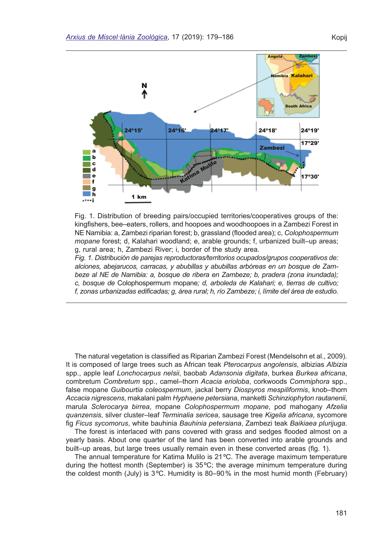

Fig. 1. Distribution of breeding pairs/occupied territories/cooperatives groups of the: kingfshers, bee–eaters, rollers, and hoopoes and woodhoopoes in a Zambezi Forest in NE Namibia: a, Zambezi riparian forest; b, grassland (fooded area); c, *Colophospermum mopane* forest; d, Kalahari woodland; e, arable grounds; f, urbanized built–up areas; g, rural area; h, Zambezi River; i, border of the study area.

*Fig. 1. Distribución de parejas reproductoras/territorios ocupados/grupos cooperativos de: alciones, abejarucos, carracas, y abubillas y abubillas arbóreas en un bosque de Zambeze al NE de Namibia: a, bosque de ribera en Zambeze; b, pradera (zona inundada); c, bosque de* Colophospermum mopane*; d, arboleda de Kalahari; e, tierras de cultivo; f, zonas urbanizadas edifcadas; g, área rural; h, río Zambeze; i, límite del área de estudio.* 

The natural vegetation is classifed as Riparian Zambezi Forest (Mendelsohn et al., 2009). It is composed of large trees such as African teak *Pterocarpus angolensis*, albizias *Albizia*  spp., apple leaf *Lonchocarpus nelsii*, baobab *Adansonia digitata*, burkea *Burkea africana*, combretum *Combretum* spp., camel–thorn *Acacia erioloba*, corkwoods *Commiphora* spp., false mopane *Guibourtia coleospermum*, jackal berry *Diospyros mespiliformis*, knob–thorn *Accacia nigrescens*, makalani palm *Hyphaene petersiana*, manketti *Schinziophyton rautanenii*, marula *Sclerocarya birrea*, mopane *Colophospermum mopane*, pod mahogany *Afzelia quanzensis*, silver cluster–leaf *Terminalia sericea*, sausage tree *Kigelia africana*, sycomore fg *Ficus sycomorus*, white bauhinia *Bauhinia petersiana*, Zambezi teak *Baikiaea plurijuga*.

The forest is interlaced with pans covered with grass and sedges fooded almost on a yearly basis. About one quarter of the land has been converted into arable grounds and built–up areas, but large trees usually remain even in these converted areas (fg. 1).

The annual temperature for Katima Mulilo is 21ºC. The average maximum temperature during the hottest month (September) is 35ºC; the average minimum temperature during the coldest month (July) is 3ºC. Humidity is 80–90% in the most humid month (February)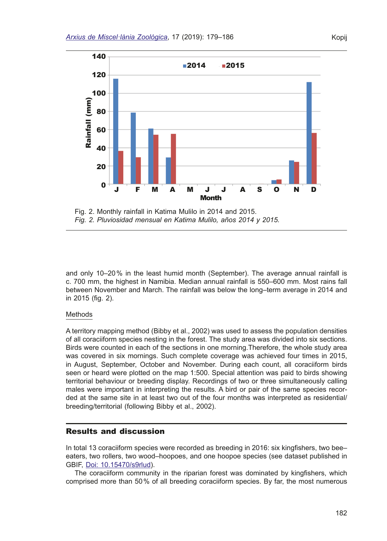

Fig. 2. Monthly rainfall in Katima Mulilo in 2014 and 2015. *Fig. 2. Pluviosidad mensual en Katima Mulilo, años 2014 y 2015.*

and only 10–20% in the least humid month (September). The average annual rainfall is c. 700 mm, the highest in Namibia. Median annual rainfall is 550–600 mm. Most rains fall between November and March. The rainfall was below the long–term average in 2014 and in 2015 (fig. 2).

### Methods

A territory mapping method (Bibby et al., 2002) was used to assess the population densities of all coraciiform species nesting in the forest. The study area was divided into six sections. Birds were counted in each of the sections in one morning.Therefore, the whole study area was covered in six mornings. Such complete coverage was achieved four times in 2015, in August, September, October and November. During each count, all coraciiform birds seen or heard were plotted on the map 1:500. Special attention was paid to birds showing territorial behaviour or breeding display. Recordings of two or three simultaneously calling males were important in interpreting the results. A bird or pair of the same species recorded at the same site in at least two out of the four months was interpreted as residential/ breeding/territorial (following Bibby et al., 2002).

## Results and discussion

In total 13 coraciiform species were recorded as breeding in 2016: six kingfishers, two bee– eaters, two rollers, two wood–hoopoes, and one hoopoe species (see dataset published in GBIF, [Doi: 10.15470/s9rlud](https://www.gbif.org/dataset/a73c418e-7baa-4955-bdad-0159bcf2be2d)).

The coraciiform community in the riparian forest was dominated by kingfshers, which comprised more than 50% of all breeding coraciiform species. By far, the most numerous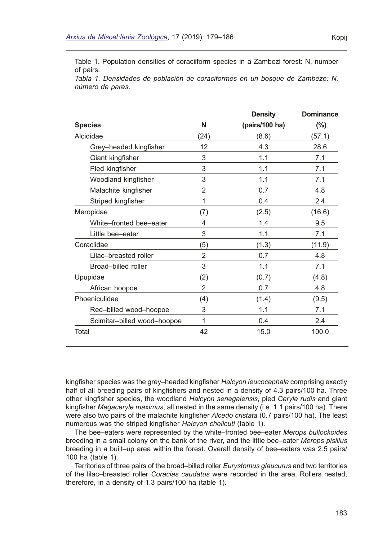Table 1. Population densities of coraciiform species in a Zambezi forest: N, number of pairs.

*Tabla 1. Densidades de población de coraciformes en un bosque de Zambeze: N. número de pares.*

|                             |                | <b>Density</b> | <b>Dominance</b> |
|-----------------------------|----------------|----------------|------------------|
| <b>Species</b>              | N              | (pairs/100 ha) | (%)              |
| Alcididae                   | (24)           | (8.6)          | (57.1)           |
| Grey-headed kingfisher      | 12             | 4.3            | 28.6             |
| Giant kingfisher            | 3              | 1.1            | 7.1              |
| Pied kingfisher             | 3              | 1.1            | 7.1              |
| Woodland kingfisher         | 3              | 1.1            | 7.1              |
| Malachite kingfisher        | $\overline{2}$ | 0.7            | 4.8              |
| Striped kingfisher          | 1              | 0.4            | 2.4              |
| Meropidae                   | (7)            | (2.5)          | (16.6)           |
| White-fronted bee-eater     | 4              | 1.4            | 9.5              |
| Little bee-eater            | 3              | 1.1            | 7.1              |
| Coraciidae                  | (5)            | (1.3)          | (11.9)           |
| Lilac-breasted roller       | $\overline{2}$ | 0.7            | 4.8              |
| Broad-billed roller         | 3              | 1.1            | 7.1              |
| Upupidae                    | (2)            | (0.7)          | (4.8)            |
| African hoopoe              | $\overline{2}$ | 0.7            | 4.8              |
| Phoeniculidae               | (4)            | (1.4)          | (9.5)            |
| Red-billed wood-hoopoe      | 3              | 1.1            | 7.1              |
| Scimitar-billed wood-hoopoe | 1              | 0.4            | 2.4              |
| Total                       | 42             | 15.0           | 100.0            |

kingfsher species was the grey–headed kingfsher *Halcyon leucocephala* comprising exactly half of all breeding pairs of kingfishers and nested in a density of 4.3 pairs/100 ha. Three other kingfsher species, the woodland *Halcyon senegalensis*, pied *Ceryle rudis* and giant kingfsher *Megaceryle maximus*, all nested in the same density (i.e. 1.1 pairs/100 ha). There were also two pairs of the malachite kingfsher *Alcedo cristata* (0.7 pairs/100 ha). The least numerous was the striped kingfsher *Halcyon chelicuti* (table 1).

The bee–eaters were represented by the white–fronted bee–eater *Merops bullockoides* breeding in a small colony on the bank of the river, and the little bee–eater *Merops pisillus* breeding in a built–up area within the forest. Overall density of bee–eaters was 2.5 pairs/ 100 ha (table 1).

Territories of three pairs of the broad–billed roller *Eurystomus glaucurus* and two territories of the lilac–breasted roller *Coracias caudatus* were recorded in the area. Rollers nested, therefore, in a density of 1.3 pairs/100 ha (table 1).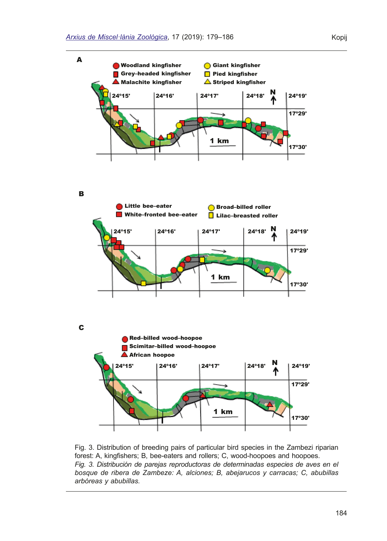

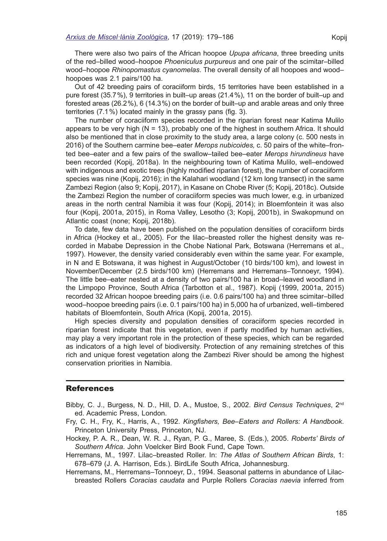There were also two pairs of the African hoopoe *Upupa africana*, three breeding units of the red–billed wood–hoopoe *Phoeniculus purpureus* and one pair of the scimitar–billed wood–hoopoe *Rhinopomastus cyanomelas*. The overall density of all hoopoes and wood– hoopoes was 2.1 pairs/100 ha.

Out of 42 breeding pairs of coraciiform birds, 15 territories have been established in a pure forest (35.7%), 9 territories in built–up areas (21.4%), 11 on the border of built–up and forested areas (26.2%), 6 (14.3%) on the border of built–up and arable areas and only three territories (7.1%) located mainly in the grassy pans (fig. 3).

The number of coraciiform species recorded in the riparian forest near Katima Mulilo appears to be very high  $(N = 13)$ , probably one of the highest in southern Africa. It should also be mentioned that in close proximity to the study area, a large colony (c. 500 nests in 2016) of the Southern carmine bee–eater *Merops nubicoides,* c. 50 pairs of the white–fronted bee–eater and a few pairs of the swallow–tailed bee–eater *Merops hirundineus* have been recorded (Kopij, 2018a). In the neighbouring town of Katima Mulilo, well–endowed with indigenous and exotic trees (highly modifed riparian forest), the number of coraciiform species was nine (Kopij, 2016); in the Kalahari woodland (12 km long transect) in the same Zambezi Region (also 9; Kopij, 2017), in Kasane on Chobe River (5; Kopij, 2018c). Outside the Zambezi Region the number of coraciiform species was much lower, e.g. in urbanized areas in the north central Namibia it was four (Kopij, 2014); in Bloemfontein it was also four (Kopij, 2001a, 2015), in Roma Valley, Lesotho (3; Kopij, 2001b), in Swakopmund on Atlantic coast (none; Kopij, 2018b).

To date, few data have been published on the population densities of coraciiform birds in Africa (Hockey et al., 2005). For the lilac–breasted roller the highest density was recorded in Mababe Depression in the Chobe National Park, Botswana (Herremans et al., 1997). However, the density varied considerably even within the same year. For example, in N and E Botswana, it was highest in August/October (10 birds/100 km), and lowest in November/December (2.5 birds/100 km) (Herremans and Herremans–Tonnoeyr, 1994). The little bee–eater nested at a density of two pairs/100 ha in broad–leaved woodland in the Limpopo Province, South Africa (Tarbotton et al., 1987). Kopij (1999, 2001a, 2015) recorded 32 African hoopoe breeding pairs (i.e. 0.6 pairs/100 ha) and three scimitar–billed wood–hoopoe breeding pairs (i.e. 0.1 pairs/100 ha) in 5,000 ha of urbanized, well–timbered habitats of Bloemfontein, South Africa (Kopij, 2001a, 2015).

High species diversity and population densities of coraciiform species recorded in riparian forest indicate that this vegetation, even if partly modifed by human activities, may play a very important role in the protection of these species, which can be regarded as indicators of a high level of biodiversity. Protection of any remaining stretches of this rich and unique forest vegetation along the Zambezi River should be among the highest conservation priorities in Namibia.

## References

- Bibby, C. J., Burgess, N. D., Hill, D. A., Mustoe, S., 2002. *Bird Census Techniques*, 2nd ed. Academic Press, London.
- Fry, C. H., Fry, K., Harris, A., 1992. *Kingfshers, Bee–Eaters and Rollers: A Handbook*. Princeton University Press, Princeton, NJ.
- Hockey, P. A. R., Dean, W. R. J., Ryan, P. G., Maree, S. (Eds.), 2005. *Roberts' Birds of Southern Africa*. John Voelcker Bird Book Fund, Cape Town.
- Herremans, M., 1997. Lilac–breasted Roller. In: *The Atlas of Southern African Birds*, 1: 678–679 (J. A. Harrison, Eds.). BirdLife South Africa, Johannesburg.
- Herremans, M., Herremans–Tonnoeyr, D., 1994. Seasonal patterns in abundance of Lilacbreasted Rollers *Coracias caudata* and Purple Rollers *Coracias naevia* inferred from